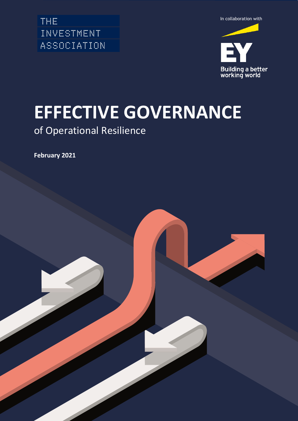INVESTMENT ASSOCIATION



# **EFFECTIVE GOVERNANCE**

## of Operational Resilience

**February 2021**

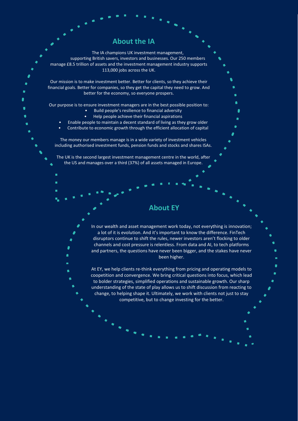## **About the IA**

The IA champions UK investment management, supporting British savers, investors and businesses. Our 250 members manage £8.5 trillion of assets and the investment management industry supports 113,000 jobs across the UK.

Our mission is to make investment better. Better for clients, so they achieve their financial goals. Better for companies, so they get the capital they need to grow. And better for the economy, so everyone prospers.

Our purpose is to ensure investment managers are in the best possible position to: • Build people's resilience to financial adversity

- Help people achieve their financial aspirations
- Enable people to maintain a decent standard of living as they grow older
- Contribute to economic growth through the efficient allocation of capital

The money our members manage is in a wide variety of investment vehicles including authorised investment funds, pension funds and stocks and shares ISAs.

The UK is the second largest investment management centre in the world, after the US and manages over a third (37%) of all assets managed in Europe.

## **About EY**

In our wealth and asset management work today, not everything is innovation; a lot of it is evolution. And it's important to know the difference. FinTech disruptors continue to shift the rules, newer investors aren't flocking to older channels and cost pressure is relentless. From data and AI, to tech platforms and partners, the questions have never been bigger, and the stakes have never been higher.

At EY, we help clients re-think everything from pricing and operating models to coopetition and convergence. We bring critical questions into focus, which lead to bolder strategies, simplified operations and sustainable growth. Our sharp understanding of the state of play allows us to shift discussion from reacting to change, to helping shape it. Ultimately, we work with clients not just to stay competitive, but to change investing for the better.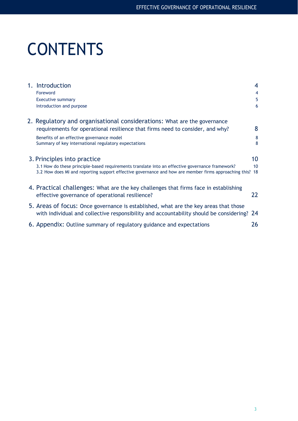# **CONTENTS**

| 1. Introduction                                                                                                                                                                                          | 4         |
|----------------------------------------------------------------------------------------------------------------------------------------------------------------------------------------------------------|-----------|
| Foreword                                                                                                                                                                                                 | 4         |
| <b>Executive summary</b>                                                                                                                                                                                 | 5         |
| Introduction and purpose                                                                                                                                                                                 | 6         |
| 2. Regulatory and organisational considerations: What are the governance                                                                                                                                 |           |
| requirements for operational resilience that firms need to consider, and why?                                                                                                                            | 8         |
| Benefits of an effective governance model                                                                                                                                                                | 8         |
| Summary of key international regulatory expectations                                                                                                                                                     | 8         |
| 3. Principles into practice                                                                                                                                                                              | 10        |
|                                                                                                                                                                                                          |           |
| 3.1 How do these principle-based requirements translate into an effective governance framework?<br>3.2 How does MI and reporting support effective governance and how are member firms approaching this? | 10<br>-18 |
| 4. Practical challenges: What are the key challenges that firms face in establishing                                                                                                                     |           |
| effective governance of operational resilience?                                                                                                                                                          | 22        |
| 5. Areas of focus: Once governance is established, what are the key areas that those                                                                                                                     |           |
| with individual and collective responsibility and accountability should be considering? 24                                                                                                               |           |
| 6. Appendix: Outline summary of regulatory guidance and expectations                                                                                                                                     | 26        |
|                                                                                                                                                                                                          |           |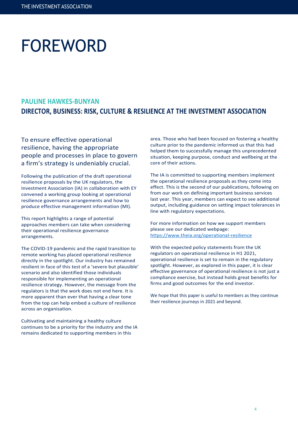# FOREWORD

## **PAULINE HAWKES-BUNYAN DIRECTOR, BUSINESS: RISK, CULTURE & RESILIENCE AT THE INVESTMENT ASSOCIATION**

To ensure effective operational resilience, having the appropriate people and processes in place to govern a firm's strategy is undeniably crucial.

Following the publication of the draft operational resilience proposals by the UK regulators, the Investment Association (IA) in collaboration with EY convened a working group looking at operational resilience governance arrangements and how to produce effective management information (MI).

This report highlights a range of potential approaches members can take when considering their operational resilience governance arrangements.

The COVID-19 pandemic and the rapid transition to remote working has placed operational resilience directly in the spotlight. Our industry has remained resilient in face of this test of a 'severe but plausible' scenario and also identified those individuals responsible for implementing an operational resilience strategy. However, the message from the regulators is that the work does not end here. It is more apparent than ever that having a clear tone from the top can help embed a culture of resilience across an organisation.

Cultivating and maintaining a healthy culture continues to be a priority for the industry and the IA remains dedicated to supporting members in this

area. Those who had been focused on fostering a healthy culture prior to the pandemic informed us that this had helped them to successfully manage this unprecedented situation, keeping purpose, conduct and wellbeing at the core of their actions.

The IA is committed to supporting members implement the operational resilience proposals as they come into effect. This is the second of our publications, following on from our work on defining important business services last year. This year, members can expect to see additional output, including guidance on setting impact tolerances in line with regulatory expectations.

For more information on how we support members please see our dedicated webpage: <https://www.theia.org/operational-resilience>

With the expected policy statements from the UK regulators on operational resilience in H1 2021, operational resilience is set to remain in the regulatory spotlight. However, as explored in this paper, it is clear effective governance of operational resilience is not just a compliance exercise, but instead holds great benefits for firms and good outcomes for the end investor.

We hope that this paper is useful to members as they continue their resilience journeys in 2021 and beyond.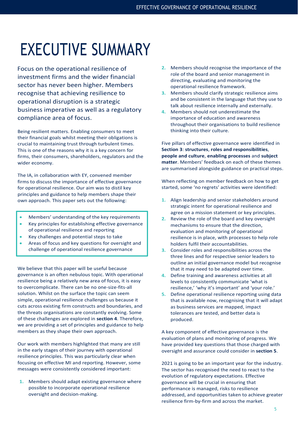# EXECUTIVE SUMMARY

Focus on the operational resilience of investment firms and the wider financial sector has never been higher. Members recognise that achieving resilience to operational disruption is a strategic business imperative as well as a regulatory compliance area of focus.

Being resilient matters. Enabling consumers to meet their financial goals whilst meeting their obligations is crucial to maintaining trust through turbulent times. This is one of the reasons why it is a key concern for firms, their consumers, shareholders, regulators and the wider economy.

The IA, in collaboration with EY, convened member firms to discuss the importance of effective governance for operational resilience. Our aim was to distil key principles and guidance to help members shape their own approach. This paper sets out the following:

- Members' understanding of the key requirements
- Key principles for establishing effective governance of operational resilience and reporting
- Key challenges and potential steps to take
- Areas of focus and key questions for oversight and challenge of operational resilience governance

We believe that this paper will be useful because governance is an often nebulous topic. With operational resilience being a relatively new area of focus, it is easy to overcomplicate. There can be no one-size-fits-all solution. Whilst on the surface the topic can seem simple, operational resilience challenges us because it cuts across existing firm constructs and boundaries, and the threats organisations are constantly evolving. Some of these challenges are explored in **section 4**. Therefore, we are providing a set of principles and guidance to help members as they shape their own approach.

Our work with members highlighted that many are still in the early stages of their journey with operational resilience principles. This was particularly clear when focusing on effective MI and reporting. However, some messages were consistently considered important:

**1.** Members should adapt existing governance where possible to incorporate operational resilience oversight and decision-making.

- **2.** Members should recognise the importance of the role of the board and senior management in directing, evaluating and monitoring the operational resilience framework.
- **3.** Members should clarify strategic resilience aims and be consistent in the language that they use to talk about resilience internally and externally.
- **4.** Members should not underestimate the importance of education and awareness throughout their organisations to build resilience thinking into their culture.

Five pillars of effective governance were identified in **Section 3**: **structures**, **roles and responsibilities**, **people and culture**, **enabling processes** and **subject matter**. Members' feedback on each of these themes are summarised alongside guidance on practical steps.

When reflecting on member feedback on how to get started, some 'no regrets' activities were identified:

- **1.** Align leadership and senior stakeholders around strategic intent for operational resilience and agree on a mission statement or key principles.
- **2.** Review the role of the board and key oversight mechanisms to ensure that the direction, evaluation and monitoring of operational resilience is in place, with processes to help role holders fulfil their accountabilities.
- **3.** Consider roles and responsibilities across the three lines and for respective senior leaders to outline an initial governance model but recognise that it may need to be adapted over time.
- **4.** Define training and awareness activities at all levels to consistently communicate 'what is resilience,' 'why it's important' and 'your role.'
- **5.** Define operational resilience reporting using data that is available now, recognising that it will adapt as business services are mapped, impact tolerances are tested, and better data is produced.

A key component of effective governance is the evaluation of plans and monitoring of progress. We have provided key questions that those charged with oversight and assurance could consider in **section 5**.

2021 is going to be an important year for the industry. The sector has recognised the need to react to the evolution of regulatory expectations. Effective governance will be crucial in ensuring that performance is managed, risks to resilience addressed, and opportunities taken to achieve greater resilience firm-by-firm and across the market.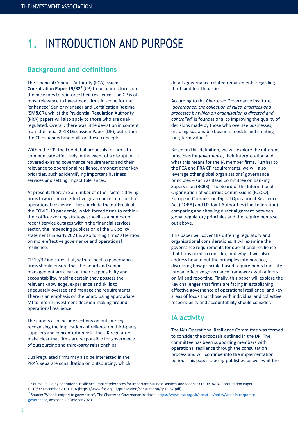## **1.** INTRODUCTION AND PURPOSE

## **Background and definitions**

The Financial Conduct Authority (FCA) issued **Consultation Paper 19/32<sup>1</sup>** (CP) to help firms focus on the measures to reinforce their resilience. The CP is of most relevance to investment firms in scope for the 'enhanced' Senior Manager and Certification Regime (SM&CR), whilst the Prudential Regulation Authority (PRA) papers will also apply to those who are dualregulated. Overall, there was little deviation in content from the initial 2018 Discussion Paper (DP), but rather the CP expanded and built on these concepts.

Within the CP, the FCA detail proposals for firms to communicate effectively in the event of a disruption. It covered existing governance requirements and their relevance to operational resilience, amongst other key priorities, such as identifying important business services and setting impact tolerances.

At present, there are a number of other factors driving firms towards more effective governance in respect of operational resilience. These include the outbreak of the COVID-19 pandemic, which forced firms to rethink their office-working strategy as well as a number of recent service outages within the financial services sector, the impending publication of the UK policy statements in early 2021 is also forcing firms' attention on more effective governance and operational resilience.

CP 19/32 indicates that, with respect to governance, firms should ensure that the board and senior management are clear on their responsibility and accountability, making certain they possess the relevant knowledge, experience and skills to adequately oversee and manage the requirements. There is an emphasis on the board using appropriate MI to inform investment decision-making around operational resilience.

The papers also include sections on outsourcing, recognising the implications of reliance on third-party suppliers and concentration risk. The UK regulators make clear that firms are responsible for governance of outsourcing and third-party relationships.

Dual-regulated firms may also be interested in the PRA's separate consultation on outsourcing, which details governance-related requirements regarding third- and fourth parties.

According to the Chartered Governance Institute, '*governance, the collection of rules, practices and processes by which an organisation is directed and controlled'* is foundational to improving the quality of decisions made by those who oversee businesses, enabling sustainable business models and creating long-term value'.<sup>2</sup>

Based on this definition, we will explore the different principles for governance, their interpretation and what this means for the IA member firms. Further to the FCA and PRA CP requirements, we will also leverage other global organisations' governance principles – such as Basel Committee on Banking Supervision (BCBS), The Board of the International Organisation of Securities Commissions (IOSCO), European Commission Digital Operational Resilience Act (DORA) and US Joint Authorities (the Federation) – comparing and showing direct alignment between global regulatory principles and the requirements set out above.

This paper will cover the differing regulatory and organisational considerations. It will examine the governance requirements for operational resilience that firms need to consider, and why. It will also address how to put the principles into practice, discussing how principle-based requirements translate into an effective governance framework with a focus on MI and reporting. Finally, this paper will explore the key challenges that firms are facing in establishing effective governance of operational resilience, and key areas of focus that those with individual and collective responsibility and accountability should consider.

## **IA activity**

The IA's Operational Resilience Committee was formed to consider the proposals outlined in the DP. The committee has been supporting members with operational resilience through the consultation process and will continue into the implementation period. This paper is being published as we await the

<sup>&</sup>lt;sup>1</sup> Source: 'Building operational resilience: impact tolerances for important business services and feedback to DP18/04' Consultation Paper CP19/32 December 2019, FCA (https://www.fca.org.uk/publication/consultation/cp19-32.pdf).

<sup>2</sup> Source: 'What is corporate governance', The Chartered Governance Institute, [https://www.icsa.org.uk/about-us/policy/what-is-corporate](https://www.icsa.org.uk/about-us/policy/what-is-corporate-governance)[governance,](https://www.icsa.org.uk/about-us/policy/what-is-corporate-governance) accessed 29 October 2020.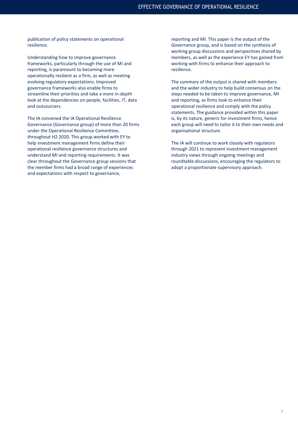publication of policy statements on operational resilience.

Understanding how to improve governance frameworks, particularly through the use of MI and reporting, is paramount to becoming more operationally resilient as a firm, as well as meeting evolving regulatory expectations. Improved governance frameworks also enable firms to streamline their priorities and take a more in-depth look at the dependencies on people, facilities, IT, data and outsourcers.

The IA convened the IA Operational Resilience Governance (Governance group) of more than 20 firms under the Operational Resilience Committee, throughout H2 2020. This group worked with EY to help investment management firms define their operational resilience governance structures and understand MI and reporting requirements. It was clear throughout the Governance group sessions that the member firms had a broad range of experiences and expectations with respect to governance,

reporting and MI. This paper is the output of the Governance group, and is based on the synthesis of working group discussions and perspectives shared by members, as well as the experience EY has gained from working with firms to enhance their approach to resilience.

The summary of the output is shared with members and the wider industry to help build consensus on the steps needed to be taken to improve governance, MI and reporting, as firms look to enhance their operational resilience and comply with the policy statements. The guidance provided within this paper is, by its nature, generic for investment firms, hence each group will need to tailor it to their own needs and organisational structure.

The IA will continue to work closely with regulators through 2021 to represent investment management industry views through ongoing meetings and roundtable discussions, encouraging the regulators to adopt a proportionate supervisory approach.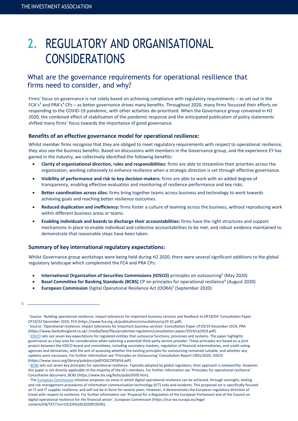## **2.** REGULATORY AND ORGANISATIONAL CONSIDERATIONS

## What are the governance requirements for operational resilience that firms need to consider, and why?

Firms' focus on governance is not solely based on achieving compliance with regulatory requirements – as set out in the FCA's<sup>3</sup> and PRA's<sup>4</sup> CPs – as better governance drives many benefits. Throughout 2020, many firms focussed their efforts on responding to the COVID-19 pandemic, with other activities de-prioritised. When the Governance group convened in H2 2020, the combined effect of stabilisation of the pandemic response and the anticipated publication of policy statements shifted many firms' focus towards the importance of good governance.

## **Benefits of an effective governance model for operational resilience:**

Whilst member firms recognise that they are obliged to meet regulatory requirements with respect to operational resilience, they also see the business benefits. Based on discussions with members in the Governance group, and the experience EY has gained in the industry, we collectively identified the following benefits:

- **Clarity of organisational direction, roles and responsibilities:** firms are able to streamline their priorities across the organisation, working cohesively to enhance resilience when a strategic direction is set through effective governance.
- **Visibility of performance and risk to key decision-makers:** firms are able to work with an added degree of transparency, enabling effective evaluation and monitoring of resilience performance and key risks.
- **Better coordination across silos:** firms bring together teams across business and technology to work towards achieving goals and reaching better resilience outcomes.
- **Reduced duplication and inefficiency:** firms foster a culture of teaming across the business, without reproducing work within different business areas or teams.
- **Enabling individuals and boards to discharge their accountabilities:** firms have the right structures and support mechanisms in place to enable individual and collective accountabilities to be met, and robust evidence maintained to demonstrate that reasonable steps have been taken.

## **Summary of key international regulatory expectations:**

Whilst Governance group workshops were being held during H2 2020, there were several significant additions to the global regulatory landscape which complement the FCA and PRA CPs:

- **International Organization of Securities Commissions (IOSCO)** principles on outsourcing<sup>5</sup> (May 2020)
- **Basel Committee for Banking Standards (BCBS)** CP on principles for operational resilience<sup>6</sup> (August 2020)
- **European Commission** Digital Operational Resilience Act (DORA)<sup>7</sup> (September 2020)

8

<sup>&</sup>lt;sup>3</sup> Source: 'Building operational resilience: impact tolerances for important business services and feedback to DP18/04' Consultation Paper CP19/32 December 2019, FCA (https://www.fca.org.uk/publication/consultation/cp19-32.pdf).

<sup>4</sup> Source: 'Operational resilience: impact tolerances for important business services' Consultation Paper CP29/19 December 2019, PRA (https://www.bankofengland.co.uk/-/media/boe/files/prudential-regulation/consultation-paper/2019/cp2919.pdf).

<sup>&</sup>lt;sup>5</sup> [IOSCO](https://www.iosco.org/library/pubdocs/pdf/IOSCOPD654.pdf) sets out seven key expectations for regulated entities that outsource functions, processes and systems. The paper highlights governance as a key area for consideration when selecting a potential third-party service provider. These principles are based on a joint project between the IOSCO board and committees, including secondary markets, regulation of financial intermediaries, and credit-rating agencies and derivatives, with the aim of assessing whether the existing principles for outsourcing remained suitable, and whether any updates were necessary. For further information see 'Principles on Outsourcing' Consultation Report CR01/2020, IOSCO (https://www.iosco.org/library/pubdocs/pdf/IOSCOPD654.pdf).

<sup>&</sup>lt;sup>6</sup> [BCBS](https://www.bis.org/bcbs/publ/d509.htm) sets out seven key principles for operational resilience. Typically adopted by global regulators, their approach is noteworthy. However, this paper is not directly applicable to the majority of the IA's members. For further information see 'Principles for operational resilience' Consultative document, BCBS (https://www.bis.org/bcbs/publ/d509.htm).

<sup>7</sup> Th[e European Commission](https://eur-lex.europa.eu/legal-content/EN/TXT/?uri=CELEX%3A52020PC0595) initiative proposes six areas in which digital operational resilience can be achieved, through oversight, testing and risk management procedures of information communication technology (ICT) risks and incidents. This proposed act is specifically focused on IT and IT supplier resilience, and will not be in force for several years. However, it demonstrates the European regulatory direction of travel with respect to resilience. For further information see 'Proposal for a Regulation of the European Parliament and of the Council on digital operational resilience for the financial sector', European Commission (https://eur-lex.europa.eu/legalcontent/EN/TXT/?uri=CELEX%3A52020PC0595).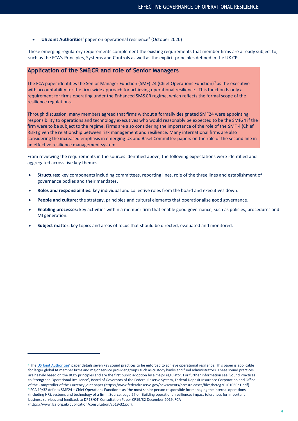## **• US Joint Authorities'** paper on operational resilience<sup>8</sup> (October 2020)

These emerging regulatory requirements complement the existing requirements that member firms are already subject to, such as the FCA's Principles, Systems and Controls as well as the explicit principles defined in the UK CPs.

## **Application of the SM&CR and role of Senior Managers**

The FCA paper identifies the Senior Manager Function (SMF) 24 (Chief Operations Function)<sup>9</sup> as the executive with accountability for the firm-wide approach for achieving operational resilience. This function Is only a requirement for firms operating under the Enhanced SM&CR regime, which reflects the formal scope of the resilience regulations.

Through discussion, many members agreed that firms without a formally designated SMF24 were appointing responsibility to operations and technology executives who would reasonably be expected to be the SMF24 if the firm were to be subject to the regime. Firms are also considering the importance of the role of the SMF 4 (Chief Risk) given the relationship between risk management and resilience. Many international firms are also considering the increased emphasis in emerging US and Basel Committee papers on the role of the second line in an effective resilience management system.

From reviewing the requirements in the sources identified above, the following expectations were identified and aggregated across five key themes:

- **Structures:** key components including committees, reporting lines, role of the three lines and establishment of governance bodies and their mandates.
- **Roles and responsibilities:** key individual and collective roles from the board and executives down.
- **People and culture:** the strategy, principles and cultural elements that operationalise good governance.
- **Enabling processes:** key activities within a member firm that enable good governance, such as policies, procedures and MI generation.
- **Subject matter:** key topics and areas of focus that should be directed, evaluated and monitored.

<sup>&</sup>lt;sup>8</sup> Th[e US Joint Authorities](https://www.federalreserve.gov/newsevents/pressreleases/bcreg20201030a.htm)' paper details seven key sound practices to be enforced to achieve operational resilience. This paper is applicable for larger global IA member firms and major service provider groups such as custody banks and fund administrators. These sound practices are heavily based on the BCBS principles and are the first public adoption by a major regulator. For further information see 'Sound Practices to Strengthen Operational Resilience', Board of Governors of the Federal Reserve System, Federal Deposit Insurance Corporation and Office of the Comptroller of the Currency joint paper (https://www.federalreserve.gov/newsevents/pressreleases/files/bcreg20201030a1.pdf). <sup>9</sup> FCA 19/32 defines SMF24 – Chief Operations Function – as 'the most senior person responsible for managing the internal operations (including HR), systems and technology of a firm'. Source: page 27 of 'Building operational resilience: impact tolerances for important business services and feedback to DP18/04' Consultation Paper CP19/32 December 2019, FCA (https://www.fca.org.uk/publication/consultation/cp19-32.pdf).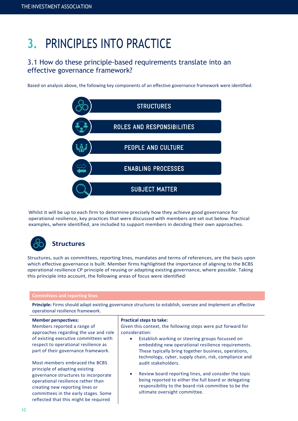## **3.** PRINCIPLES INTO PRACTICE

## 3.1 How do these principle-based requirements translate into an effective governance framework?

Based on analysis above, the following key components of an effective governance framework were identified:



Whilst it will be up to each firm to determine precisely how they achieve good governance for operational resilience, key practices that were discussed with members are set out below. Practical examples, where identified, are included to support members in deciding their own approaches.



Structures, such as committees, reporting lines, mandates and terms of references, are the basis upon which effective governance is built. Member firms highlighted the importance of aligning to the BCBS operational resilience CP principle of reusing or adapting existing governance, where possible. Taking this principle into account, the following areas of focus were identified:

### **Committees and reporting lines**

**Principle:** Firms should adapt existing governance structures to establish, oversee and implement an effective operational resilience framework.

## **Member perspectives:** Members reported a range of

approaches regarding the use and role of existing executive committees with respect to operational resilience as part of their governance framework.

Most members embraced the BCBS principle of adapting existing governance structures to incorporate operational resilience rather than creating new reporting lines or committees in the early stages. Some reflected that this might be required

### **Practical steps to take:**

Given this context, the following steps were put forward for consideration:

- Establish working or steering groups focussed on embedding new operational resilience requirements. These typically bring together business, operations, technology, cyber, supply chain, risk, compliance and audit stakeholders.
- Review board reporting lines, and consider the topic being reported to either the full board or delegating responsibility to the board risk committee to be the ultimate oversight committee.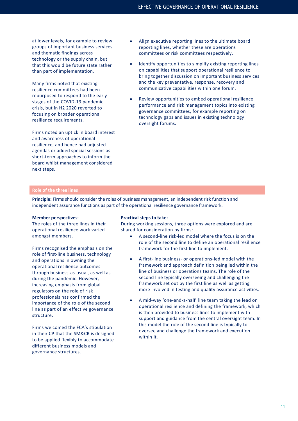at lower levels, for example to review groups of important business services and thematic findings across technology or the supply chain, but that this would be future state rather than part of implementation.

Many firms noted that existing resilience committees had been repurposed to respond to the early stages of the COVID-19 pandemic crisis, but in H2 2020 reverted to focusing on broader operational resilience requirements.

Firms noted an uptick in board interest and awareness of operational resilience, and hence had adjusted agendas or added special sessions as short-term approaches to inform the board whilst management considered next steps.

- Align executive reporting lines to the ultimate board reporting lines, whether these are operations committees or risk committees respectively.
- Identify opportunities to simplify existing reporting lines on capabilities that support operational resilience to bring together discussion on important business services and the key preventative, response, recovery and communicative capabilities within one forum.
- Review opportunities to embed operational resilience performance and risk management topics into existing governance committees, for example reporting on technology gaps and issues in existing technology oversight forums.

## **Role of the three lines**

**Principle:** Firms should consider the roles of business management, an independent risk function and independent assurance functions as part of the operational resilience governance framework.

## **Member perspectives:**

The roles of the three lines in their operational resilience work varied amongst members.

Firms recognised the emphasis on the role of first-line business, technology and operations in owning the operational resilience outcomes through business-as-usual, as well as during the pandemic. However, increasing emphasis from global regulators on the role of risk professionals has confirmed the importance of the role of the second line as part of an effective governance structure.

Firms welcomed the FCA's stipulation in their CP that the SM&CR is designed to be applied flexibly to accommodate different business models and governance structures.

### **Practical steps to take:**

During working sessions, three options were explored and are shared for consideration by firms:

- A second-line risk-led model where the focus is on the role of the second line to define an operational resilience framework for the first line to implement.
- A first-line business- or operations-led model with the framework and approach definition being led within the line of business or operations teams. The role of the second line typically overseeing and challenging the framework set out by the first line as well as getting more involved in testing and quality assurance activities.
- A mid-way 'one-and-a-half' line team taking the lead on operational resilience and defining the framework, which is then provided to business lines to implement with support and guidance from the central oversight team. In this model the role of the second line is typically to oversee and challenge the framework and execution within it.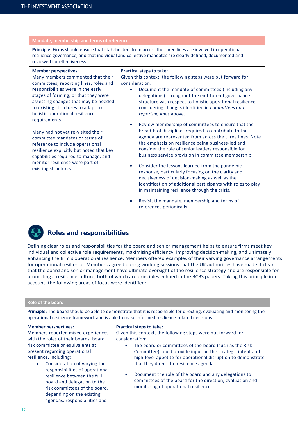## **Mandate, membership and terms of reference**

**Principle:** Firms should ensure that stakeholders from across the three lines are involved in operational resilience governance, and that individual and collective mandates are clearly defined, documented and reviewed for effectiveness.

#### **Member perspectives:**

Many members commented that their committees, reporting lines, roles and responsibilities were in the early stages of forming, or that they were assessing changes that may be needed to existing structures to adapt to holistic operational resilience requirements.

Many had not yet re-visited their committee mandates or terms of reference to include operational resilience explicitly but noted that key capabilities required to manage, and monitor resilience were part of existing structures.

### **Practical steps to take:**

Given this context, the following steps were put forward for consideration:

- Document the mandate of committees (including any delegations) throughout the end-to-end governance structure with respect to holistic operational resilience, considering changes identified in *committees and reporting lines* above.
- Review membership of committees to ensure that the breadth of disciplines required to contribute to the agenda are represented from across the three lines. Note the emphasis on resilience being business-led and consider the role of senior leaders responsible for business service provision in committee membership.
- Consider the lessons learned from the pandemic response, particularly focusing on the clarity and decisiveness of decision-making as well as the identification of additional participants with roles to play in maintaining resilience through the crisis.
- Revisit the mandate, membership and terms of references periodically.



## **Roles and responsibilities**

agendas, responsibilities and

Defining clear roles and responsibilities for the board and senior management helps to ensure firms meet key individual and collective role requirements, maximising efficiency, improving decision-making, and ultimately enhancing the firm's operational resilience. Members offered examples of their varying governance arrangements for operational resilience. Members agreed during working sessions that the UK authorities have made it clear that the board and senior management have ultimate oversight of the resilience strategy and are responsible for promoting a resilience culture, both of which are principles echoed in the BCBS papers. Taking this principle into account, the following areas of focus were identified:

## **Role of the board**

**Principle:** The board should be able to demonstrate that it is responsible for directing, evaluating and monitoring the operational resilience framework and is able to make informed resilience-related decisions.

| <b>Member perspectives:</b>                                                                                                                                                                                | <b>Practical steps to take:</b>                                                                                                                                                                                                                                                                                     |  |  |
|------------------------------------------------------------------------------------------------------------------------------------------------------------------------------------------------------------|---------------------------------------------------------------------------------------------------------------------------------------------------------------------------------------------------------------------------------------------------------------------------------------------------------------------|--|--|
| Members reported mixed experiences<br>with the roles of their boards, board                                                                                                                                | Given this context, the following steps were put forward for<br>consideration:                                                                                                                                                                                                                                      |  |  |
| risk committee or equivalents at<br>present regarding operational<br>resilience, including:<br>Consideration of varying the<br>$\bullet$<br>responsibilities of operational<br>resilience between the full | The board or committees of the board (such as the Risk<br>$\bullet$<br>Committee) could provide input on the strategic intent and<br>high-level appetite for operational disruption to demonstrate<br>that they direct the resilience agenda.<br>Document the role of the board and any delegations to<br>$\bullet$ |  |  |
| board and delegation to the<br>risk committees of the board,<br>depending on the existing                                                                                                                  | committees of the board for the direction, evaluation and<br>monitoring of operational resilience.                                                                                                                                                                                                                  |  |  |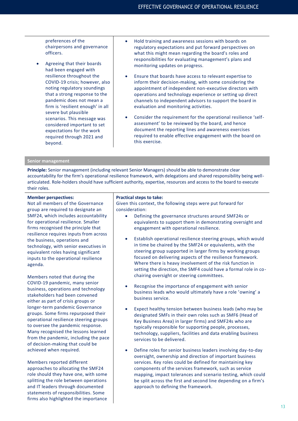preferences of the chairpersons and governance officers.

- Agreeing that their boards had been engaged with resilience throughout the COVID-19 crisis; however, also noting regulatory soundings that a strong response to the pandemic does not mean a firm is 'resilient enough' in all severe but plausible scenarios. This message was considered important to set expectations for the work required through 2021 and beyond.
- Hold training and awareness sessions with boards on regulatory expectations and put forward perspectives on what this might mean regarding the board's roles and responsibilities for evaluating management's plans and monitoring updates on progress.
- Ensure that boards have access to relevant expertise to inform their decision-making, with some considering the appointment of independent non-executive directors with operations and technology experience or setting up direct channels to independent advisors to support the board in evaluation and monitoring activities.
- Consider the requirement for the operational resilience 'selfassessment' to be reviewed by the board, and hence document the reporting lines and awareness exercises required to enable effective engagement with the board on this exercise.

## **Senior management**

**Principle:** Senior management (including relevant Senior Managers) should be able to demonstrate clear accountability for the firm's operational resilience framework, with delegations and shared responsibility being wellarticulated. Role-holders should have sufficient authority, expertise, resources and access to the board to execute their roles.

#### **Member perspectives:**

Not all members of the Governance group are required to designate an SMF24, which includes accountability for operational resilience. Smaller firms recognised the principle that resilience requires inputs from across the business, operations and technology, with senior executives in equivalent roles having significant inputs to the operational resilience agenda.

Members noted that during the COVID-19 pandemic, many senior business, operations and technology stakeholders had been convened either as part of crisis groups or longer-term pandemic Governance groups. Some firms repurposed their operational resilience steering groups to oversee the pandemic response. Many recognised the lessons learned from the pandemic, including the pace of decision-making that could be achieved when required.

Members reported different approaches to allocating the SMF24 role should they have one, with some splitting the role between operations and IT leaders through documented statements of responsibilities. Some firms also highlighted the importance

#### **Practical steps to take:**

Given this context, the following steps were put forward for consideration:

- Defining the governance structures around SMF24s or equivalents to support them in demonstrating oversight and engagement with operational resilience.
- Establish operational resilience steering groups, which would in time be chaired by the SMF24 or equivalents, with the steering group supported in larger firms by working groups focused on delivering aspects of the resilience framework. Where there is heavy involvement of the risk function in setting the direction, the SMF4 could have a formal role in cochairing oversight or steering committees.
- Recognise the importance of engagement with senior business leads who would ultimately have a role 'owning' a business service.
- Expect healthy tension between business leads (who may be designated SMFs in their own roles such as SMF6 (Head of Key Business Area) in larger firms) and SMF24s who are typically responsible for supporting people, processes, technology, suppliers, facilities and data enabling business services to be delivered.
- Define roles for senior business leaders involving day-to-day oversight, ownership and direction of important business services. Key roles could be defined for maintaining key components of the services framework, such as service mapping, impact tolerances and scenario testing, which could be split across the first and second line depending on a firm's approach to defining the framework.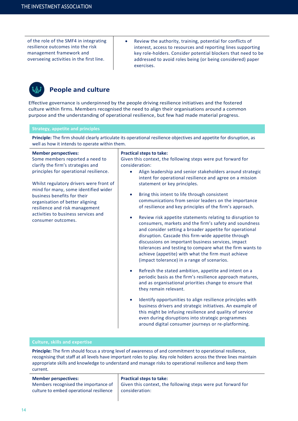of the role of the SMF4 in integrating resilience outcomes into the risk management framework and overseeing activities in the first line.

• Review the authority, training, potential for conflicts of interest, access to resources and reporting lines supporting key role-holders. Consider potential blockers that need to be addressed to avoid roles being (or being considered) paper exercises.



## **People and culture**

Effective governance is underpinned by the people driving resilience initiatives and the fostered culture within firms. Members recognised the need to align their organisations around a common purpose and the understanding of operational resilience, but few had made material progress.

## **Strategy, appetite and principles**

**Principle:** The firm should clearly articulate its operational resilience objectives and appetite for disruption, as well as how it intends to operate within them.

| <b>Member perspectives:</b>                                                                                                                                                                                                                                                                | <b>Practical steps to take:</b>                                                                                                                                                                                                                                                                                                                                                                                                                                                                                                                                                                                                                                                                                                                                                                                                                                                                                                                                                                                 |  |  |
|--------------------------------------------------------------------------------------------------------------------------------------------------------------------------------------------------------------------------------------------------------------------------------------------|-----------------------------------------------------------------------------------------------------------------------------------------------------------------------------------------------------------------------------------------------------------------------------------------------------------------------------------------------------------------------------------------------------------------------------------------------------------------------------------------------------------------------------------------------------------------------------------------------------------------------------------------------------------------------------------------------------------------------------------------------------------------------------------------------------------------------------------------------------------------------------------------------------------------------------------------------------------------------------------------------------------------|--|--|
| Some members reported a need to<br>clarify the firm's strategies and                                                                                                                                                                                                                       | Given this context, the following steps were put forward for<br>consideration:                                                                                                                                                                                                                                                                                                                                                                                                                                                                                                                                                                                                                                                                                                                                                                                                                                                                                                                                  |  |  |
| principles for operational resilience.<br>Whilst regulatory drivers were front of<br>mind for many, some identified wider<br>business benefits for their<br>organisation of better aligning<br>resilience and risk management<br>activities to business services and<br>consumer outcomes. | Align leadership and senior stakeholders around strategic<br>intent for operational resilience and agree on a mission<br>statement or key principles.<br>Bring this intent to life through consistent<br>communications from senior leaders on the importance<br>of resilience and key principles of the firm's approach.<br>Review risk appetite statements relating to disruption to<br>consumers, markets and the firm's safety and soundness<br>and consider setting a broader appetite for operational<br>disruption. Cascade this firm-wide appetite through<br>discussions on important business services, impact<br>tolerances and testing to compare what the firm wants to<br>achieve (appetite) with what the firm must achieve<br>(impact tolerance) in a range of scenarios.<br>Refresh the stated ambition, appetite and intent on a<br>$\bullet$<br>periodic basis as the firm's resilience approach matures,<br>and as organisational priorities change to ensure that<br>they remain relevant. |  |  |

Identify opportunities to align resilience principles with business drivers and strategic initiatives. An example of this might be infusing resilience and quality of service even during disruptions into strategic programmes around digital consumer journeys or re-platforming.

## **Culture, skills and expertise**

**Principle:** The firm should focus a strong level of awareness of and commitment to operational resilience, recognising that staff at all levels have important roles to play. Key role holders across the three lines maintain appropriate skills and knowledge to understand and manage risks to operational resilience and keep them current.

## **Member perspectives:**

Members recognised the importance of culture to embed operational resilience

### **Practical steps to take:**

Given this context, the following steps were put forward for consideration: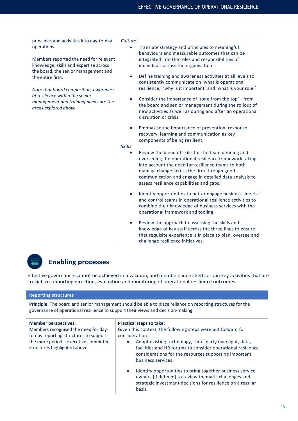principles and activities into day-to-day operations.

Members reported the need for relevant knowledge, skills and expertise across the board, the senior management and the entire firm.

*Note that board composition, awareness of resilience within the senior management and training needs are the areas explored above.* 

*Culture:*

- Translate strategy and principles to meaningful behaviours and measurable outcomes that can be integrated into the roles and responsibilities of individuals across the organisation.
- Define training and awareness activities at all levels to consistently communicate on 'what is operational resilience,' 'why is it important' and 'what is your role.'
- Consider the importance of 'tone from the top' from the board and senior management during the rollout of new activities as well as during and after an operational disruption or crisis.
- Emphasise the importance of prevention, response, recovery, learning and communication as key components of being resilient.

## *Skills:*

- Review the blend of skills for the team defining and overseeing the operational resilience framework taking into account the need for resilience teams to both manage change across the firm through good communication and engage in detailed data analysis to assess resilience capabilities and gaps.
- Identify opportunities to better engage business-line risk and control teams in operational resilience activities to combine their knowledge of business services with the operational framework and tooling.
- Review the approach to assessing the skills and knowledge of key staff across the three lines to ensure that requisite experience is in place to plan, oversee and challenge resilience initiatives.

## **Enabling processes**

Effective governance cannot be achieved in a vacuum, and members identified certain key activities that are crucial to supporting direction, evaluation and monitoring of operational resilience outcomes.

## **Reporting structures**

**Principle:** The board and senior management should be able to place reliance on reporting structures for the governance of operational resilience to support their views and decision-making.

| <b>Member perspectives:</b><br>Members recognised the need for day-<br>to-day reporting structures to support<br>the more periodic executive committee<br>structures highlighted above. | <b>Practical steps to take:</b><br>Given this context, the following steps were put forward for<br>consideration:<br>Adapt existing technology, third-party oversight, data,<br>$\bullet$<br>facilities and HR forums to consider operational resilience<br>considerations for the resources supporting important<br>business services.<br>Identify opportunities to bring together business service<br>$\bullet$ |
|-----------------------------------------------------------------------------------------------------------------------------------------------------------------------------------------|-------------------------------------------------------------------------------------------------------------------------------------------------------------------------------------------------------------------------------------------------------------------------------------------------------------------------------------------------------------------------------------------------------------------|
|                                                                                                                                                                                         | owners (if defined) to review thematic challenges and<br>strategic investment decisions for resilience on a regular<br>basis.                                                                                                                                                                                                                                                                                     |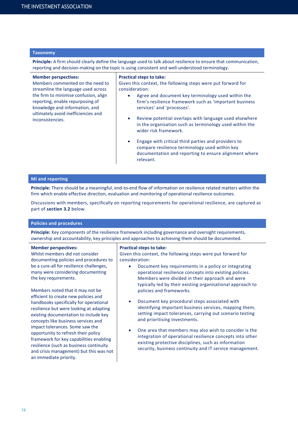## **Taxonomy**

**Principle:** A firm should clearly define the language used to talk about resilience to ensure that communication, reporting and decision-making on the topic is using consistent and well-understood terminology.

| <b>Member perspectives:</b>         |  |  |  |
|-------------------------------------|--|--|--|
| Members commented on the need to    |  |  |  |
| streamline the language used across |  |  |  |

the firm to minimise confusion, align reporting, enable repurposing of knowledge and information, and ultimately avoid inefficiencies and inconsistencies.

## **Practical steps to take:**

Given this context, the following steps were put forward for consideration:

- Agree and document key terminology used within the firm's resilience framework such as 'important business services' and 'processes'.
- Review potential overlaps with language used elsewhere in the organisation such as terminology used within the wider risk framework.
- Engage with critical third parties and providers to compare resilience terminology used within key documentation and reporting to ensure alignment where relevant.

#### **MI and reporting**

**Principle:** There should be a meaningful, end-to-end flow of information on resilience related matters within the firm which enable effective direction, evaluation and monitoring of operational resilience outcomes.

Discussions with members, specifically on reporting requirements for operational resilience, are captured as part of **section 3.2** below.

### **Policies and procedures**

**Principle:** Key components of the resilience framework including governance and oversight requirements, ownership and accountability, key principles and approaches to achieving them should be documented.

#### **Member perspectives:**

Whilst members did not consider documenting policies and procedures to be a cure-all for resilience challenges, many were considering documenting the key requirements.

Members noted that it may not be efficient to create new policies and handbooks specifically for operational resilience but were looking at adapting existing documentation to include key concepts like business services and impact tolerances. Some saw the opportunity to refresh their policy framework for key capabilities enabling resilience (such as business continuity and crisis management) but this was not an immediate priority.

#### **Practical steps to take:**

Given this context, the following steps were put forward for consideration:

- Document key requirements in a policy or integrating operational resilience concepts into existing policies. Members were divided in their approach and were typically led by their existing organisational approach to policies and frameworks.
- Document key procedural steps associated with identifying important business services, mapping them, setting impact tolerances, carrying out scenario testing and prioritising investments.
- One area that members may also wish to consider is the integration of operational resilience concepts into other existing protective disciplines, such as information security, business continuity and IT service management.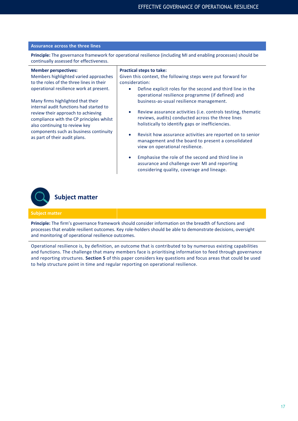## **Assurance across the three lines**

**Principle:** The governance framework for operational resilience (including MI and enabling processes) should be continually assessed for effectiveness.

#### **Member perspectives:**

Members highlighted varied approaches to the roles of the three lines in their operational resilience work at present.

Many firms highlighted that their internal audit functions had started to review their approach to achieving compliance with the CP principles whilst also continuing to review key components such as business continuity as part of their audit plans.

#### **Practical steps to take:**

Given this context, the following steps were put forward for consideration:

- Define explicit roles for the second and third line in the operational resilience programme (if defined) and business-as-usual resilience management.
- Review assurance activities (i.e. controls testing, thematic reviews, audits) conducted across the three lines holistically to identify gaps or inefficiencies.
- Revisit how assurance activities are reported on to senior management and the board to present a consolidated view on operational resilience.
- Emphasise the role of the second and third line in assurance and challenge over MI and reporting considering quality, coverage and lineage.



#### **Subject matter**

**Principle:** The firm's governance framework should consider information on the breadth of functions and processes that enable resilient outcomes. Key role-holders should be able to demonstrate decisions, oversight and monitoring of operational resilience outcomes.

Operational resilience is, by definition, an outcome that is contributed to by numerous existing capabilities and functions. The challenge that many members face is prioritising information to feed through governance and reporting structures. **Section 5** of this paper considers key questions and focus areas that could be used to help structure point in time and regular reporting on operational resilience.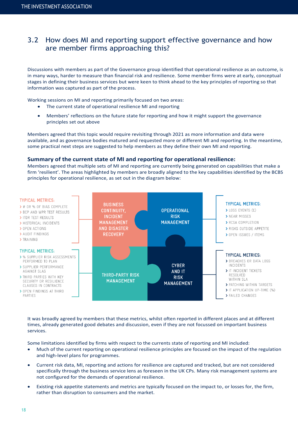## 3.2 How does MI and reporting support effective governance and how are member firms approaching this?

Discussions with members as part of the Governance group identified that operational resilience as an outcome, is in many ways, harder to measure than financial risk and resilience. Some member firms were at early, conceptual stages in defining their business services but were keen to think ahead to the key principles of reporting so that information was captured as part of the process.

Working sessions on MI and reporting primarily focused on two areas:

- The current state of operational resilience MI and reporting
- Members' reflections on the future state for reporting and how it might support the governance principles set out above

Members agreed that this topic would require revisiting through 2021 as more information and data were available, and as governance bodies matured and requested more or different MI and reporting. In the meantime, some practical next steps are suggested to help members as they define their own MI and reporting.

## **Summary of the current state of MI and reporting for operational resilience:**

Members agreed that multiple sets of MI and reporting are currently being generated on capabilities that make a firm 'resilient'. The areas highlighted by members are broadly aligned to the key capabilities identified by the BCBS principles for operational resilience, as set out in the diagram below:



It was broadly agreed by members that these metrics, whilst often reported in different places and at different times, already generated good debates and discussion, even if they are not focussed on important business services.

Some limitations identified by firms with respect to the currents state of reporting and MI included:

- Much of the current reporting on operational resilience principles are focused on the impact of the regulation and high-level plans for programmes.
- Current risk data, MI, reporting and actions for resilience are captured and tracked, but are not considered specifically through the business service lens as foreseen in the UK CPs. Many risk management systems are not configured for the demands of operational resilience.
- Existing risk appetite statements and metrics are typically focused on the impact to, or losses for, the firm, rather than disruption to consumers and the market.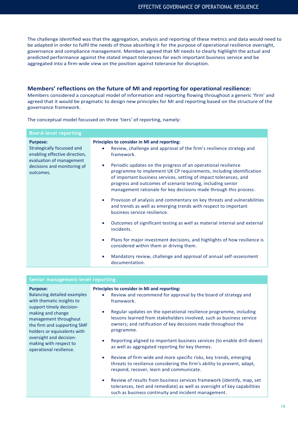The challenge identified was that the aggregation, analysis and reporting of these metrics and data would need to be adapted in order to fulfil the needs of those absorbing it for the purpose of operational resilience oversight, governance and compliance management. Members agreed that MI needs to clearly highlight the actual and predicted performance against the stated impact tolerances for each important business service and be aggregated into a firm-wide view on the position against tolerance for disruption.

## **Members' reflections on the future of MI and reporting for operational resilience:**

Members considered a conceptual model of information and reporting flowing throughout a generic 'firm' and agreed that it would be pragmatic to design new principles for MI and reporting based on the structure of the governance framework.

The conceptual model focussed on three 'tiers' of reporting, namely:

| <b>Board-level reporting</b><br><b>Purpose:</b><br>Strategically focussed and<br>enabling effective direction,<br>evaluation of management<br>decisions and monitoring of<br>outcomes. | Principles to consider in MI and reporting:<br>Review, challenge and approval of the firm's resilience strategy and<br>۰<br>framework.<br>Periodic updates on the progress of an operational resilience<br>$\bullet$<br>programme to implement UK CP requirements, including identification<br>of important business services, setting of impact tolerances, and<br>progress and outcomes of scenario testing, including senior<br>management rationale for key decisions made through this process.<br>Provision of analysis and commentary on key threats and vulnerabilities<br>$\bullet$<br>and trends as well as emerging trends with respect to important<br>business service resilience.<br>Outcomes of significant testing as well as material internal and external<br>$\bullet$ |  |
|----------------------------------------------------------------------------------------------------------------------------------------------------------------------------------------|-------------------------------------------------------------------------------------------------------------------------------------------------------------------------------------------------------------------------------------------------------------------------------------------------------------------------------------------------------------------------------------------------------------------------------------------------------------------------------------------------------------------------------------------------------------------------------------------------------------------------------------------------------------------------------------------------------------------------------------------------------------------------------------------|--|
|                                                                                                                                                                                        | incidents.<br>Plans for major investment decisions, and highlights of how resilience is<br>$\bullet$<br>considered within them or driving them.<br>Mandatory review, challenge and approval of annual self-assessment<br>$\bullet$<br>documentation.                                                                                                                                                                                                                                                                                                                                                                                                                                                                                                                                      |  |

| Principles to consider in MI and reporting:<br>Review and recommend for approval by the board of strategy and<br>framework.<br>Regular updates on the operational resilience programme, including<br>lessons learned from stakeholders involved, such as business service<br>owners; and ratification of key decisions made throughout the<br>programme.<br>Reporting aligned to important business services (to enable drill-down)<br>as well as aggregated reporting for key themes.<br>Review of firm-wide and more specific risks, key trends, emerging<br>threats to resilience considering the firm's ability to prevent, adapt,<br>respond, recover, learn and communicate.<br>Review of results from business services framework (identify, map, set<br>۰<br>tolerances, test and remediate) as well as oversight of key capabilities<br>such as business continuity and incident management. | Senior management-level reporting                                                                                                                                                                                                                                                                          |  |  |  |  |
|-------------------------------------------------------------------------------------------------------------------------------------------------------------------------------------------------------------------------------------------------------------------------------------------------------------------------------------------------------------------------------------------------------------------------------------------------------------------------------------------------------------------------------------------------------------------------------------------------------------------------------------------------------------------------------------------------------------------------------------------------------------------------------------------------------------------------------------------------------------------------------------------------------|------------------------------------------------------------------------------------------------------------------------------------------------------------------------------------------------------------------------------------------------------------------------------------------------------------|--|--|--|--|
|                                                                                                                                                                                                                                                                                                                                                                                                                                                                                                                                                                                                                                                                                                                                                                                                                                                                                                       | <b>Purpose:</b><br><b>Balancing detailed examples</b><br>with thematic insights to<br>support timely decision-<br>making and change<br>management throughout<br>the firm and supporting SMF<br>holders or equivalents with<br>oversight and decision-<br>making with respect to<br>operational resilience. |  |  |  |  |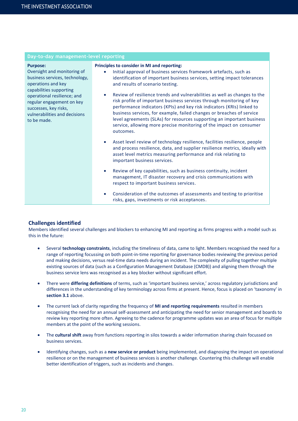## **Day-to-day management-level reporting**

#### **Purpose:**

Oversight and monitoring of business services, technology, operations and key capabilities supporting operational resilience; and regular engagement on key successes, key risks, vulnerabilities and decisions to be made.

#### **Principles to consider in MI and reporting:**

- Initial approval of business services framework artefacts, such as identification of important business services, setting impact tolerances and results of scenario testing.
- Review of resilience trends and vulnerabilities as well as changes to the risk profile of important business services through monitoring of key performance indicators (KPIs) and key risk indicators (KRIs) linked to business services, for example, failed changes or breaches of service level agreements (SLAs) for resources supporting an important business service, allowing more precise monitoring of the impact on consumer outcomes.
- Asset level review of technology resilience, facilities resilience, people and process resilience, data, and supplier resilience metrics, ideally with asset level metrics measuring performance and risk relating to important business services.
- Review of key capabilities, such as business continuity, incident management, IT disaster recovery and crisis communications with respect to important business services.
- Consideration of the outcomes of assessments and testing to prioritise risks, gaps, investments or risk acceptances.

## **Challenges identified**

Members identified several challenges and blockers to enhancing MI and reporting as firms progress with a model such as this in the future:

- Several **technology constraints**, including the timeliness of data, came to light. Members recognised the need for a range of reporting focussing on both point-in-time reporting for governance bodies reviewing the previous period and making decisions, versus real-time data needs during an incident. The complexity of pulling together multiple existing sources of data (such as a Configuration Management Database (CMDB)) and aligning them through the business service lens was recognised as a key blocker without significant effort.
- There were **differing definitions** of terms, such as 'important business service,' across regulatory jurisdictions and differences in the understanding of key terminology across firms at present. Hence, focus is placed on 'taxonomy' in **section 3.1** above.
- The current lack of clarity regarding the frequency of **MI and reporting requirements** resulted in members recognising the need for an annual self-assessment and anticipating the need for senior management and boards to review key reporting more often. Agreeing to the cadence for programme updates was an area of focus for multiple members at the point of the working sessions.
- The **cultural shift** away from functions reporting in silos towards a wider information sharing chain focussed on business services.
- Identifying changes, such as a **new service or product** being implemented, and diagnosing the impact on operational resilience or on the management of business services is another challenge. Countering this challenge will enable better identification of triggers, such as incidents and changes.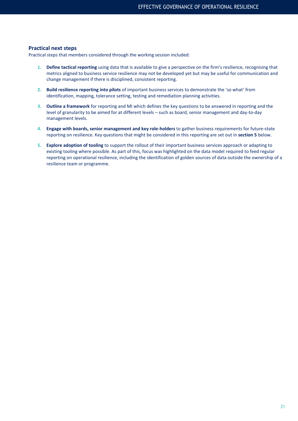## **Practical next steps**

Practical steps that members considered through the working session included:

- **1. Define tactical reporting** using data that is available to give a perspective on the firm's resilience, recognising that metrics aligned to business service resilience may not be developed yet but may be useful for communication and change management if there is disciplined, consistent reporting.
- **2. Build resilience reporting into pilots** of important business services to demonstrate the 'so what' from identification, mapping, tolerance setting, testing and remediation planning activities.
- **3. Outline a framework** for reporting and MI which defines the key questions to be answered in reporting and the level of granularity to be aimed for at different levels – such as board, senior management and day-to-day management levels.
- **4. Engage with boards, senior management and key role-holders** to gather business requirements for future-state reporting on resilience. Key questions that might be considered in this reporting are set out in **section 5** below.
- **5. Explore adoption of tooling** to support the rollout of their important business services approach or adapting to existing tooling where possible. As part of this, focus was highlighted on the data model required to feed regular reporting on operational resilience, including the identification of golden sources of data outside the ownership of a resilience team or programme.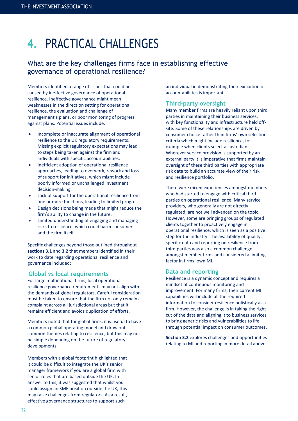## **4.** PRACTICAL CHALLENGES

## What are the key challenges firms face in establishing effective governance of operational resilience?

Members identified a range of issues that could be caused by ineffective governance of operational resilience. Ineffective governance might mean weaknesses in the direction setting for operational resilience, the evaluation and challenge of management's plans, or poor monitoring of progress against plans. Potential issues include:

- Incomplete or inaccurate alignment of operational resilience to the UK regulatory requirements. Missing explicit regulatory expectations may lead to steps being taken against the firm and individuals with specific accountabilities.
- Inefficient adoption of operational resilience approaches, leading to overwork, rework and loss of support for initiatives, which might include poorly informed or unchallenged investment decision-making.
- Lack of support for the operational resilience from one or more functions, leading to limited progress
- Design decisions being made that might reduce the firm's ability to change in the future.
- Limited understanding of engaging and managing risks to resilience, which could harm consumers and the firm itself.

Specific challenges beyond those outlined throughout **sections 3.1** and **3.2** that members identified in their work to date regarding operational resilience and governance included:

## **Global vs local requirements**

For large multinational firms, local operational resilience governance requirements may not align with the demands of global regulators. Careful consideration must be taken to ensure that the firm not only remains complaint across all jurisdictional areas but that it remains efficient and avoids duplication of efforts.

Members noted that for global firms, it is useful to have a common global operating model and draw out common themes relating to resilience, but this may not be simple depending on the future of regulatory developments.

Members with a global footprint highlighted that it could be difficult to integrate the UK's senior manager framework if you are a global firm with senior roles that are based outside the UK. In answer to this, it was suggested that whilst you could assign an SMF position outside the UK, this may raise challenges from regulators. As a result, effective governance structures to support such

an individual in demonstrating their execution of accountabilities is important.

## **Third-party oversight**

Many member firms are heavily reliant upon third parties in maintaining their business services, with key functionality and infrastructure held offsite. Some of these relationships are driven by consumer choice rather than firms' own selection criteria which might include resilience, for example when clients select a custodian. Wherever service provision is supported by an external party it is imperative that firms maintain oversight of these third parties with appropriate risk data to build an accurate view of their risk and resilience portfolio.

There were mixed experiences amongst members who had started to engage with critical third parties on operational resilience. Many service providers, who generally are not directly regulated, are not well advanced on the topic. However, some are bringing groups of regulated clients together to proactively engage in operational resilience, which is seen as a positive step for the industry. The availability of quality, specific data and reporting on resilience from third parties was also a common challenge amongst member firms and considered a limiting factor in firms' own MI.

## **Data and reporting**

Resilience is a dynamic concept and requires a mindset of continuous monitoring and improvement. For many firms, their current MI capabilities will include all the required information to consider resilience holistically as a firm. However, the challenge is in taking the right cut of the data and aligning it to business services to bring generic risks and vulnerabilities to life through potential impact on consumer outcomes.

**Section 3.2** explores challenges and opportunities relating to MI and reporting in more detail above.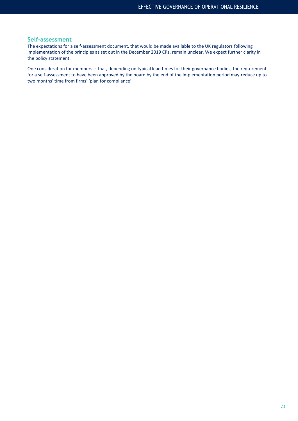## **Self-assessment**

The expectations for a self-assessment document, that would be made available to the UK regulators following implementation of the principles as set out in the December 2019 CPs, remain unclear. We expect further clarity in the policy statement.

One consideration for members is that, depending on typical lead times for their governance bodies, the requirement for a self-assessment to have been approved by the board by the end of the implementation period may reduce up to two months' time from firms' 'plan for compliance'.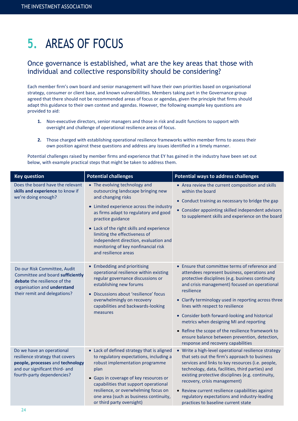24

## **5.** AREAS OF FOCUS

## Once governance is established, what are the key areas that those with individual and collective responsibility should be considering?

Each member firm's own board and senior management will have their own priorities based on organisational strategy, consumer or client base, and known vulnerabilities. Members taking part in the Governance group agreed that there should not be recommended areas of focus or agendas, given the principle that firms should adapt this guidance to their own context and agendas. However, the following example key questions are provided to aid:

- **1.** Non-executive directors, senior managers and those in risk and audit functions to support with oversight and challenge of operational resilience areas of focus.
- **2.** Those charged with establishing operational resilience frameworks within member firms to assess their own position against these questions and address any issues identified in a timely manner.

Potential challenges raised by member firms and experience that EY has gained in the industry have been set out below, with example practical steps that might be taken to address them.

| <b>Key question</b>                                                                                                                                              | <b>Potential challenges</b>                                                                                                                                                                                                                                                                                                                                                               | <b>Potential ways to address challenges</b>                                                                                                                                                                                                                                                                                                                                                                                                                                                                                                            |  |
|------------------------------------------------------------------------------------------------------------------------------------------------------------------|-------------------------------------------------------------------------------------------------------------------------------------------------------------------------------------------------------------------------------------------------------------------------------------------------------------------------------------------------------------------------------------------|--------------------------------------------------------------------------------------------------------------------------------------------------------------------------------------------------------------------------------------------------------------------------------------------------------------------------------------------------------------------------------------------------------------------------------------------------------------------------------------------------------------------------------------------------------|--|
| Does the board have the relevant<br>skills and experience to know if<br>we're doing enough?                                                                      | • The evolving technology and<br>outsourcing landscape bringing new<br>and changing risks<br>• Limited experience across the industry<br>as firms adapt to regulatory and good<br>practice guidance<br>• Lack of the right skills and experience<br>limiting the effectiveness of<br>independent direction, evaluation and<br>monitoring of key nonfinancial risk<br>and resilience areas | • Area review the current composition and skills<br>within the board<br>• Conduct training as necessary to bridge the gap<br>• Consider appointing skilled independent advisors<br>to supplement skills and experience on the board                                                                                                                                                                                                                                                                                                                    |  |
| Do our Risk Committee, Audit<br>Committee and board sufficiently<br>debate the resilience of the<br>organisation and understand<br>their remit and delegations?  | • Embedding and prioritising<br>operational resilience within existing<br>regular governance discussions or<br>establishing new forums<br>· Discussions about 'resilience' focus<br>overwhelmingly on recovery<br>capabilities and backwards-looking<br>measures                                                                                                                          | • Ensure that committee terms of reference and<br>attendees represent business, operations and<br>protective disciplines (e.g. business continuity<br>and crisis management) focused on operational<br>resilience<br>• Clarify terminology used in reporting across three<br>lines with respect to resilience<br>• Consider both forward-looking and historical<br>metrics when designing MI and reporting<br>• Refine the scope of the resilience framework to<br>ensure balance between prevention, detection,<br>response and recovery capabilities |  |
| Do we have an operational<br>resilience strategy that covers<br>people, processes and technology<br>and our significant third- and<br>fourth-party dependencies? | • Lack of defined strategy that is aligned<br>to regulatory expectations, including a<br>robust implementation programme<br>plan<br>• Gaps in coverage of key resources or<br>capabilities that support operational<br>resilience, or overwhelming focus on<br>one area (such as business continuity,<br>or third party oversight)                                                        | • Write a high-level operational resilience strategy<br>that sets out the firm's approach to business<br>services and links to key resources (i.e. people,<br>technology, data, facilities, third parties) and<br>existing protective disciplines (e.g. continuity,<br>recovery, crisis management)<br>• Review current resilience capabilities against<br>regulatory expectations and industry-leading<br>practices to baseline current state                                                                                                         |  |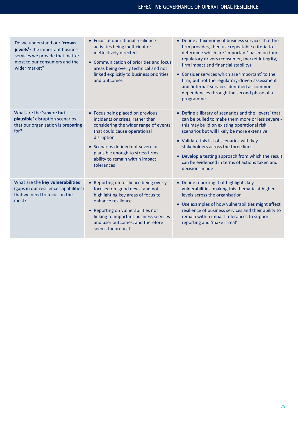| Do we understand our 'crown<br>jewels'- the important business<br>services we provide that matter<br>most to our consumers and the<br>wider market? | • Focus of operational resilience<br>activities being inefficient or<br>ineffectively directed<br>• Communication of priorities and focus<br>areas being overly technical and not<br>linked explicitly to business priorities<br>and outcomes                                          | • Define a taxonomy of business services that the<br>firm provides, then use repeatable criteria to<br>determine which are 'important' based on four<br>regulatory drivers (consumer, market integrity,<br>firm impact and financial stability)<br>• Consider services which are 'important' to the<br>firm, but not the regulatory-driven assessment<br>and 'internal' services identified as common<br>dependencies through the second phase of a<br>programme |
|-----------------------------------------------------------------------------------------------------------------------------------------------------|----------------------------------------------------------------------------------------------------------------------------------------------------------------------------------------------------------------------------------------------------------------------------------------|------------------------------------------------------------------------------------------------------------------------------------------------------------------------------------------------------------------------------------------------------------------------------------------------------------------------------------------------------------------------------------------------------------------------------------------------------------------|
| What are the 'severe but<br>plausible' disruption scenarios<br>that our organisation is preparing<br>for?                                           | • Focus being placed on previous<br>incidents or crises, rather than<br>considering the wider range of events<br>that could cause operational<br>disruption<br>• Scenarios defined not severe or<br>plausible enough to stress firms'<br>ability to remain within impact<br>tolerances | • Define a library of scenarios and the 'levers' that<br>can be pulled to make them more or less severe -<br>this may build on existing operational risk<br>scenarios but will likely be more extensive<br>• Validate this list of scenarios with key<br>stakeholders across the three lines<br>• Develop a testing approach from which the result<br>can be evidenced in terms of actions taken and<br>decisions made                                           |
| What are the key vulnerabilities<br>(gaps in our resilience capabilities)<br>that we need to focus on the<br>most?                                  | • Reporting on resilience being overly<br>focused on 'good news' and not<br>highlighting key areas of focus to<br>enhance resilience<br>• Reporting on vulnerabilities not<br>linking to important business services<br>and user outcomes, and therefore<br>seems theoretical          | • Define reporting that highlights key<br>vulnerabilities, making this thematic at higher<br>levels across the organisation<br>• Use examples of how vulnerabilities might affect<br>resilience of business services and their ability to<br>remain within impact tolerances to support<br>reporting and 'make it real'                                                                                                                                          |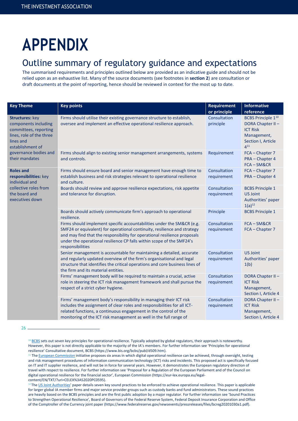# **APPENDIX**

## Outline summary of regulatory guidance and expectations

The summarised requirements and principles outlined below are provided as an indicative guide and should not be relied upon as an exhaustive list. Many of the source documents (see footnotes in **section 2**) are consultation or draft documents at the point of reporting, hence should be reviewed in context for the most up to date.

| <b>Key Theme</b>                                                                                                                     | <b>Key points</b>                                                                                                                                                                                                                                                                                                            | <b>Requirement</b><br>or principle | <b>Informative</b><br>reference                                                                                              |
|--------------------------------------------------------------------------------------------------------------------------------------|------------------------------------------------------------------------------------------------------------------------------------------------------------------------------------------------------------------------------------------------------------------------------------------------------------------------------|------------------------------------|------------------------------------------------------------------------------------------------------------------------------|
| <b>Structures: key</b><br>components including<br>committees, reporting<br>lines, role of the three<br>lines and<br>establishment of | Firms should utilise their existing governance structure to establish,<br>oversee and implement an effective operational resilience approach.                                                                                                                                                                                | Consultation<br>principle          | <b>BCBS Principle 1<sup>10</sup></b><br>DORA Chapter II-<br><b>ICT Risk</b><br>Management,<br>Section I, Article<br>$4^{11}$ |
| governance bodies and<br>their mandates                                                                                              | Firms should align to existing senior management arrangements, systems<br>and controls.                                                                                                                                                                                                                                      | Requirement                        | FCA - Chapter 7<br>PRA - Chapter 4<br>$FCA - SM&CR$                                                                          |
| <b>Roles and</b><br>responsibilities: key<br>individual and                                                                          | Firms should ensure board and senior management have enough time to<br>establish business and risk strategies relevant to operational resilience<br>and culture.                                                                                                                                                             | Consultation<br>requirement        | FCA - Chapter 7<br>PRA - Chapter 4                                                                                           |
| collective roles from<br>the board and<br>executives down                                                                            | Boards should review and approve resilience expectations, risk appetite<br>and tolerance for disruption.                                                                                                                                                                                                                     | Consultation<br>requirement        | <b>BCBS Principle 1</b><br><b>US Joint</b><br>Authorities' paper<br>$1(a)^{12}$                                              |
|                                                                                                                                      | Boards should actively communicate firm's approach to operational<br>resilience.                                                                                                                                                                                                                                             | Principle                          | <b>BCBS Principle 1</b>                                                                                                      |
|                                                                                                                                      | Firms should implement specific accountabilities under the SM&CR (e.g.<br>SMF24 or equivalent) for operational continuity, resilience and strategy<br>and may find that the responsibility for operational resilience proposals<br>under the operational resilience CP falls within scope of the SMF24's<br>responsibilities | Consultation<br>requirement        | FCA-SM&CR<br>FCA - Chapter 7                                                                                                 |
|                                                                                                                                      | Senior management is accountable for maintaining a detailed, accurate<br>and regularly updated overview of the firm's organisational and legal<br>structure that identifies the critical operations and core business lines of<br>the firm and its material entities.                                                        | Consultation<br>requirement        | <b>US Joint</b><br>Authorities' paper<br>1(b)                                                                                |
|                                                                                                                                      | Firms' management body will be required to maintain a crucial, active<br>role in steering the ICT risk management framework and shall pursue the<br>respect of a strict cyber hygiene.                                                                                                                                       | Consultation<br>requirement        | DORA Chapter II-<br><b>ICT Risk</b><br>Management,<br>Section I, Article 4                                                   |
|                                                                                                                                      | Firms' management body's responsibility in managing their ICT risk<br>includes the assignment of clear roles and responsibilities for all ICT-<br>related functions, a continuous engagement in the control of the<br>monitoring of the ICT risk management as well in the full range of                                     | Consultation<br>requirement        | DORA Chapter II-<br><b>ICT Risk</b><br>Management,<br>Section I, Article 4                                                   |

<sup>26</sup>

<sup>&</sup>lt;sup>10</sup> [BCBS](https://www.bis.org/bcbs/publ/d509.htm) sets out seven key principles for operational resilience. Typically adopted by global regulators, their approach is noteworthy. However, this paper is not directly applicable to the majority of the IA's members. For further information see 'Principles for operational resilience' Consultative document, BCBS (https://www.bis.org/bcbs/publ/d509.htm).

<sup>&</sup>lt;sup>11</sup> Th[e European Commission](https://eur-lex.europa.eu/legal-content/EN/TXT/?uri=CELEX%3A52020PC0595) initiative proposes six areas in which digital operational resilience can be achieved, through oversight, testing and risk management procedures of information communication technology (ICT) risks and incidents. This proposed act is specifically focused on IT and IT supplier resilience, and will not be in force for several years. However, it demonstrates the European regulatory direction of travel with respect to resilience. For further information see 'Proposal for a Regulation of the European Parliament and of the Council on digital operational resilience for the financial sector', European Commission (https://eur-lex.europa.eu/legalcontent/EN/TXT/?uri=CELEX%3A52020PC0595).

<sup>&</sup>lt;sup>12</sup> Th[e US Joint Authorities](https://www.federalreserve.gov/newsevents/pressreleases/bcreg20201030a.htm)' paper details seven key sound practices to be enforced to achieve operational resilience. This paper is applicable for larger global IA member firms and major service provider groups such as custody banks and fund administrators. These sound practices are heavily based on the BCBS principles and are the first public adoption by a major regulator. For further information see 'Sound Practices to Strengthen Operational Resilience', Board of Governors of the Federal Reserve System, Federal Deposit Insurance Corporation and Office of the Comptroller of the Currency joint paper (https://www.federalreserve.gov/newsevents/pressreleases/files/bcreg20201030a1.pdf).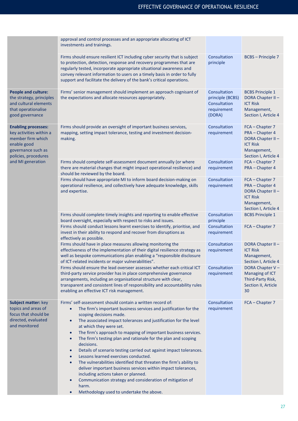|                                                                                                                                         | approval and control processes and an appropriate allocating of ICT<br>investments and trainings.                                                                                                                                                                                                                                                                                                                                                                                                                                                                                                                                                                                                                                                                                                                                                                                                                                             |                                                                           |                                                                                                                  |
|-----------------------------------------------------------------------------------------------------------------------------------------|-----------------------------------------------------------------------------------------------------------------------------------------------------------------------------------------------------------------------------------------------------------------------------------------------------------------------------------------------------------------------------------------------------------------------------------------------------------------------------------------------------------------------------------------------------------------------------------------------------------------------------------------------------------------------------------------------------------------------------------------------------------------------------------------------------------------------------------------------------------------------------------------------------------------------------------------------|---------------------------------------------------------------------------|------------------------------------------------------------------------------------------------------------------|
|                                                                                                                                         | Firms should ensure resilient ICT including cyber security that is subject<br>to protection, detection, response and recovery programmes that are<br>regularly tested, incorporate appropriate situational awareness and<br>convey relevant information to users on a timely basis in order to fully<br>support and facilitate the delivery of the bank's critical operations.                                                                                                                                                                                                                                                                                                                                                                                                                                                                                                                                                                | Consultation<br>principle                                                 | <b>BCBS</b> – Principle 7                                                                                        |
| <b>People and culture:</b><br>the strategy, principles<br>and cultural elements<br>that operationalise<br>good governance               | Firms' senior management should implement an approach cognisant of<br>the expectations and allocate resources appropriately.                                                                                                                                                                                                                                                                                                                                                                                                                                                                                                                                                                                                                                                                                                                                                                                                                  | Consultation<br>principle (BCBS)<br>Consultation<br>requirement<br>(DORA) | <b>BCBS Principle 1</b><br>DORA Chapter II-<br><b>ICT Risk</b><br>Management,<br>Section I, Article 4            |
| <b>Enabling processes:</b><br>key activities within a<br>member firm which<br>enable good<br>governance such as<br>policies, procedures | Firms should provide an oversight of important business services,<br>mapping, setting impact tolerance, testing and investment decision-<br>making.                                                                                                                                                                                                                                                                                                                                                                                                                                                                                                                                                                                                                                                                                                                                                                                           | Consultation<br>requirement                                               | FCA - Chapter 7<br>PRA - Chapter 4<br>DORA Chapter II-<br><b>ICT Risk</b><br>Management,<br>Section I, Article 4 |
| and MI generation                                                                                                                       | Firms should complete self-assessment document annually (or where<br>there are material changes that might impact operational resilience) and<br>should be reviewed by the board.                                                                                                                                                                                                                                                                                                                                                                                                                                                                                                                                                                                                                                                                                                                                                             | Consultation<br>requirement                                               | FCA - Chapter 7<br>PRA - Chapter 4                                                                               |
|                                                                                                                                         | Firms should have appropriate MI to inform board decision-making on<br>operational resilience, and collectively have adequate knowledge, skills<br>and expertise.                                                                                                                                                                                                                                                                                                                                                                                                                                                                                                                                                                                                                                                                                                                                                                             | Consultation<br>requirement                                               | FCA - Chapter 7<br>PRA - Chapter 4<br>DORA Chapter II-<br><b>ICT Risk</b><br>Management,<br>Section I, Article 4 |
|                                                                                                                                         | Firms should complete timely insights and reporting to enable effective<br>board oversight, especially with respect to risks and issues.                                                                                                                                                                                                                                                                                                                                                                                                                                                                                                                                                                                                                                                                                                                                                                                                      | Consultation<br>principle                                                 | <b>BCBS Principle 1</b>                                                                                          |
|                                                                                                                                         | Firms should conduct lessons learnt exercises to identify, prioritise, and<br>invest in their ability to respond and recover from disruptions as<br>effectively as possible.                                                                                                                                                                                                                                                                                                                                                                                                                                                                                                                                                                                                                                                                                                                                                                  | Consultation<br>requirement                                               | FCA - Chapter 7                                                                                                  |
|                                                                                                                                         | Firms should have in place measures allowing monitoring the<br>effectiveness of the implementation of their digital resilience strategy as<br>well as bespoke communications plan enabling a "responsible disclosure<br>of ICT-related incidents or major vulnerabilities".                                                                                                                                                                                                                                                                                                                                                                                                                                                                                                                                                                                                                                                                   | Consultation<br>requirement                                               | DORA Chapter II-<br><b>ICT Risk</b><br>Management,<br>Section I, Article 4                                       |
|                                                                                                                                         | Firms should ensure the lead overseer assesses whether each critical ICT<br>third-party service provider has in place comprehensive governance<br>arrangements, including an organisational structure with clear,<br>transparent and consistent lines of responsibility and accountability rules<br>enabling an effective ICT risk management.                                                                                                                                                                                                                                                                                                                                                                                                                                                                                                                                                                                                | Consultation<br>requirement                                               | DORA Chapter V-<br>Managing of ICT<br>Third-Party Risk,<br>Section II, Article<br>30                             |
| <b>Subject matter: key</b><br>topics and areas of<br>focus that should be<br>directed, evaluated<br>and monitored                       | Firms' self-assessment should contain a written record of:<br>The firm's important business services and justification for the<br>$\bullet$<br>scoping decisions made.<br>The associated impact tolerances and justification for the level<br>$\bullet$<br>at which they were set.<br>The firm's approach to mapping of important business services.<br>$\bullet$<br>The firm's testing plan and rationale for the plan and scoping<br>$\bullet$<br>decisions.<br>Details of scenario testing carried out against impact tolerances.<br>$\bullet$<br>Lessons learned exercises conducted.<br>$\bullet$<br>The vulnerabilities identified that threaten the firm's ability to<br>$\bullet$<br>deliver important business services within impact tolerances,<br>including actions taken or planned.<br>Communication strategy and consideration of mitigation of<br>$\bullet$<br>harm.<br>Methodology used to undertake the above.<br>$\bullet$ | Consultation<br>requirement                                               | FCA - Chapter 7                                                                                                  |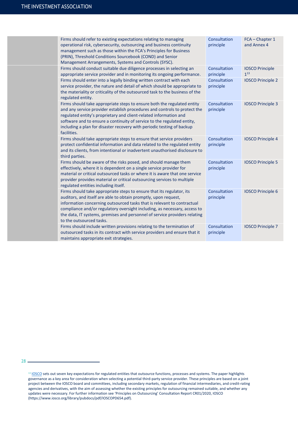| Firms should refer to existing expectations relating to managing<br>operational risk, cybersecurity, outsourcing and business continuity<br>management such as those within the FCA's Principles for Business<br>(PRIN), Threshold Conditions Sourcebook (COND) and Senior<br>Management Arrangements, Systems and Controls (SYSC).                                                                        | Consultation<br>principle | FCA - Chapter 1<br>and Annex 4     |
|------------------------------------------------------------------------------------------------------------------------------------------------------------------------------------------------------------------------------------------------------------------------------------------------------------------------------------------------------------------------------------------------------------|---------------------------|------------------------------------|
| Firms should conduct suitable due diligence processes in selecting an<br>appropriate service provider and in monitoring its ongoing performance.                                                                                                                                                                                                                                                           | Consultation<br>principle | <b>IOSCO Principle</b><br>$1^{13}$ |
| Firms should enter into a legally binding written contract with each<br>service provider, the nature and detail of which should be appropriate to<br>the materiality or criticality of the outsourced task to the business of the<br>regulated entity.                                                                                                                                                     | Consultation<br>principle | <b>IOSCO Principle 2</b>           |
| Firms should take appropriate steps to ensure both the regulated entity<br>and any service provider establish procedures and controls to protect the<br>regulated entity's proprietary and client-related information and<br>software and to ensure a continuity of service to the regulated entity,<br>including a plan for disaster recovery with periodic testing of backup<br>facilities.              | Consultation<br>principle | <b>IOSCO Principle 3</b>           |
| Firms should take appropriate steps to ensure that service providers<br>protect confidential information and data related to the regulated entity<br>and its clients, from intentional or inadvertent unauthorised disclosure to<br>third parties.                                                                                                                                                         | Consultation<br>principle | <b>IOSCO Principle 4</b>           |
| Firms should be aware of the risks posed, and should manage them<br>effectively, where it is dependent on a single service provider for<br>material or critical outsourced tasks or where it is aware that one service<br>provider provides material or critical outsourcing services to multiple<br>regulated entities including itself.                                                                  | Consultation<br>principle | <b>IOSCO Principle 5</b>           |
| Firms should take appropriate steps to ensure that its regulator, its<br>auditors, and itself are able to obtain promptly, upon request,<br>information concerning outsourced tasks that is relevant to contractual<br>compliance and/or regulatory oversight including, as necessary, access to<br>the data, IT systems, premises and personnel of service providers relating<br>to the outsourced tasks. | Consultation<br>principle | <b>IOSCO Principle 6</b>           |
| Firms should include written provisions relating to the termination of<br>outsourced tasks in its contract with service providers and ensure that it<br>maintains appropriate exit strategies.                                                                                                                                                                                                             | Consultation<br>principle | <b>IOSCO Principle 7</b>           |

 $28 -$ 

<sup>&</sup>lt;sup>13</sup> [IOSCO](https://www.iosco.org/library/pubdocs/pdf/IOSCOPD654.pdf) sets out seven key expectations for regulated entities that outsource functions, processes and systems. The paper highlights governance as a key area for consideration when selecting a potential third-party service provider. These principles are based on a joint project between the IOSCO board and committees, including secondary markets, regulation of financial intermediaries, and credit-rating agencies and derivatives, with the aim of assessing whether the existing principles for outsourcing remained suitable, and whether any updates were necessary. For further information see 'Principles on Outsourcing' Consultation Report CR01/2020, IOSCO (https://www.iosco.org/library/pubdocs/pdf/IOSCOPD654.pdf).